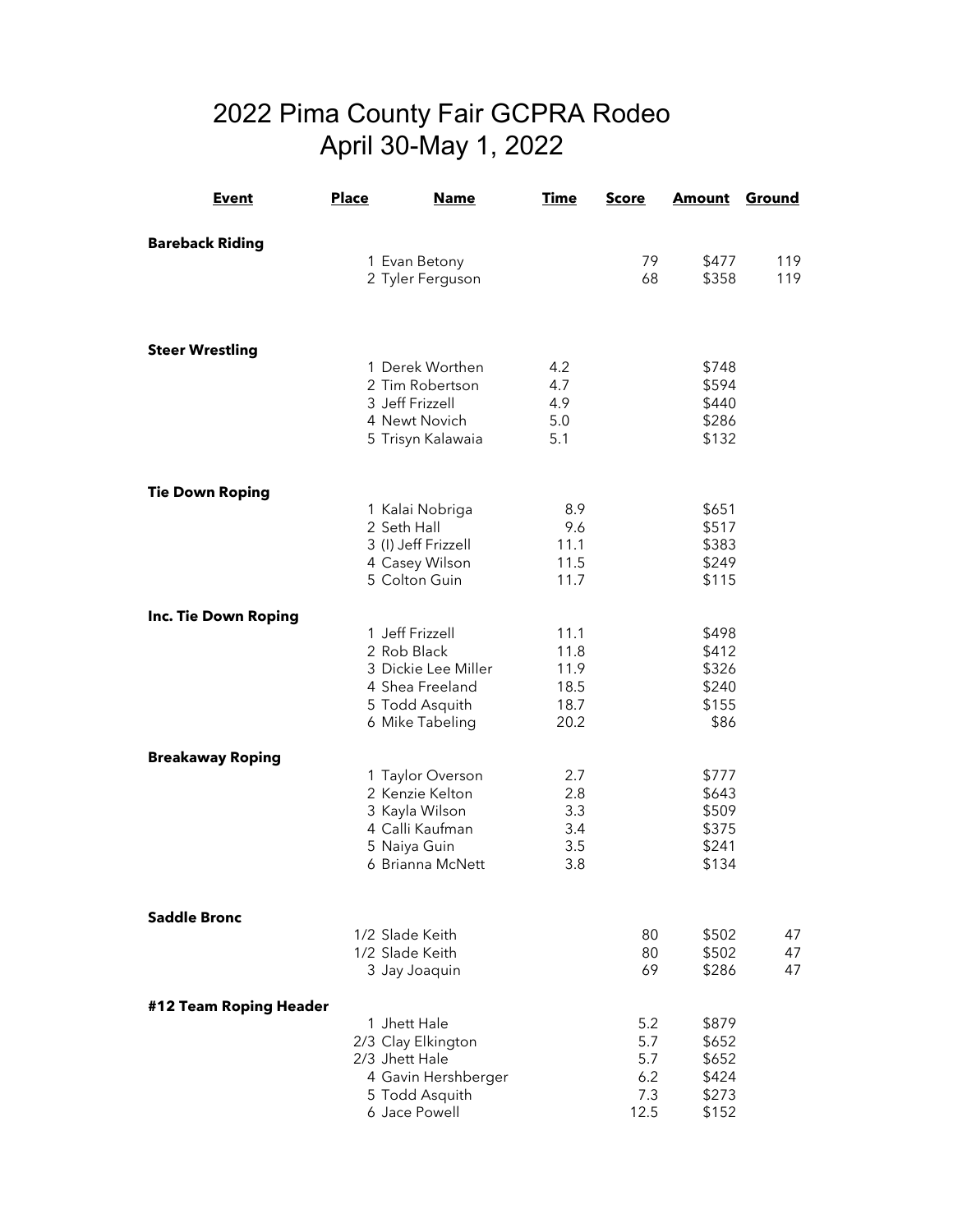## 2022 Pima County Fair GCPRA Rodeo April 30-May 1, 2022

| <b>Event</b>            | <u>Place</u> | <b>Name</b>                           | <u>Time</u>  | <u>Score</u> | <b>Amount</b>  | <b>Ground</b> |
|-------------------------|--------------|---------------------------------------|--------------|--------------|----------------|---------------|
| <b>Bareback Riding</b>  |              |                                       |              |              |                |               |
|                         |              | 1 Evan Betony                         |              | 79           | \$477          | 119           |
|                         |              | 2 Tyler Ferguson                      |              | 68           | \$358          | 119           |
|                         |              |                                       |              |              |                |               |
|                         |              |                                       |              |              |                |               |
| <b>Steer Wrestling</b>  |              | 1 Derek Worthen                       | 4.2          |              | \$748          |               |
|                         |              | 2 Tim Robertson                       | 4.7          |              | \$594          |               |
|                         |              | 3 Jeff Frizzell                       | 4.9          |              | \$440          |               |
|                         |              | 4 Newt Novich                         | 5.0          |              | \$286          |               |
|                         |              | 5 Trisyn Kalawaia                     | 5.1          |              | \$132          |               |
| <b>Tie Down Roping</b>  |              |                                       |              |              |                |               |
|                         |              | 1 Kalai Nobriga                       | 8.9          |              | \$651          |               |
|                         |              | 2 Seth Hall                           | 9.6          |              | \$517          |               |
|                         |              | 3 (I) Jeff Frizzell                   | 11.1         |              | \$383          |               |
|                         |              | 4 Casey Wilson<br>5 Colton Guin       | 11.5         |              | \$249          |               |
|                         |              |                                       | 11.7         |              | \$115          |               |
| Inc. Tie Down Roping    |              |                                       |              |              |                |               |
|                         |              | 1 Jeff Frizzell                       | 11.1         |              | \$498          |               |
|                         |              | 2 Rob Black                           | 11.8         |              | \$412          |               |
|                         |              | 3 Dickie Lee Miller                   | 11.9         |              | \$326          |               |
|                         |              | 4 Shea Freeland<br>5 Todd Asquith     | 18.5<br>18.7 |              | \$240<br>\$155 |               |
|                         |              | 6 Mike Tabeling                       | 20.2         |              | \$86           |               |
|                         |              |                                       |              |              |                |               |
| <b>Breakaway Roping</b> |              |                                       |              |              |                |               |
|                         |              | 1 Taylor Overson                      | 2.7          |              | \$777          |               |
|                         |              | 2 Kenzie Kelton                       | 2.8          |              | \$643          |               |
|                         |              | 3 Kayla Wilson<br>4 Calli Kaufman     | 3.3<br>3.4   |              | \$509<br>\$375 |               |
|                         |              | 5 Naiya Guin                          | 3.5          |              | \$241          |               |
|                         |              | 6 Brianna McNett                      | 3.8          |              | \$134          |               |
|                         |              |                                       |              |              |                |               |
| <b>Saddle Bronc</b>     |              |                                       |              |              |                |               |
|                         |              | 1/2 Slade Keith<br>1/2 Slade Keith    |              | 80<br>80     | \$502<br>\$502 | 47            |
|                         |              | 3 Jay Joaquin                         |              | 69           | \$286          | 47<br>47      |
|                         |              |                                       |              |              |                |               |
| #12 Team Roping Header  |              |                                       |              |              |                |               |
|                         |              | 1 Jhett Hale                          |              | 5.2          | \$879          |               |
|                         |              | 2/3 Clay Elkington                    |              | 5.7          | \$652          |               |
|                         |              | 2/3 Jhett Hale<br>4 Gavin Hershberger |              | 5.7<br>6.2   | \$652<br>\$424 |               |
|                         |              | 5 Todd Asquith                        |              | 7.3          | \$273          |               |
|                         |              | 6 Jace Powell                         |              | 12.5         | \$152          |               |